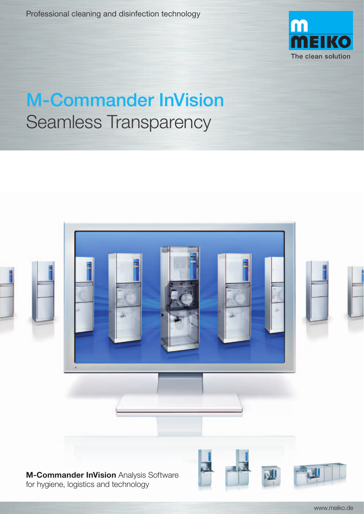Professional cleaning and disinfection technology



## M-Commander InVision Seamless Transparency